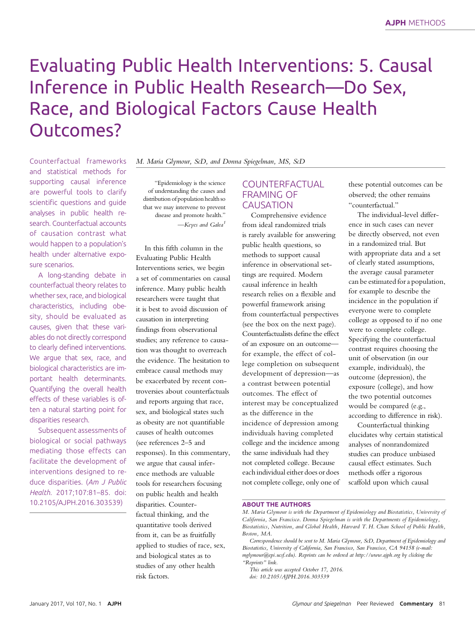# Evaluating Public Health Interventions: 5. Causal Inference in Public Health Research—Do Sex, Race, and Biological Factors Cause Health Outcomes?

Counterfactual frameworks and statistical methods for supporting causal inference are powerful tools to clarify scientific questions and guide analyses in public health research. Counterfactual accounts of causation contrast what would happen to a population's health under alternative exposure scenarios.

A long-standing debate in counterfactual theory relates to whether sex, race, and biological characteristics, including obesity, should be evaluated as causes, given that these variables do not directly correspond to clearly defined interventions. We argue that sex, race, and biological characteristics are important health determinants. Quantifying the overall health effects of these variables is often a natural starting point for disparities research.

Subsequent assessments of biological or social pathways mediating those effects can facilitate the development of interventions designed to reduce disparities. (Am J Public Health. 2017;107:81–85. doi: 10.2105/AJPH.2016.303539)

M. Maria Glymour, ScD, and Donna Spiegelman, MS, ScD

"Epidemiology is the science of understanding the causes and distribution of population health so that we may intervene to prevent disease and promote health."  $-\mathsf{K}$ eyes and Galea $^1$ 

In this fifth column in the Evaluating Public Health Interventions series, we begin a set of commentaries on causal inference. Many public health researchers were taught that it is best to avoid discussion of causation in interpreting findings from observational studies; any reference to causation was thought to overreach the evidence. The hesitation to embrace causal methods may be exacerbated by recent controversies about counterfactuals and reports arguing that race, sex, and biological states such as obesity are not quantifiable causes of health outcomes (see references 2–5 and responses). In this commentary, we argue that causal inference methods are valuable tools for researchers focusing on public health and health disparities. Counterfactual thinking, and the quantitative tools derived from it, can be as fruitfully applied to studies of race, sex, and biological states as to studies of any other health risk factors.

# COUNTERFACTUAL FRAMING OF CAUSATION

Comprehensive evidence from ideal randomized trials is rarely available for answering public health questions, so methods to support causal inference in observational settings are required. Modern causal inference in health research relies on a flexible and powerful framework arising from counterfactual perspectives (see the box on the next page). Counterfactualists define the effect of an exposure on an outcome for example, the effect of college completion on subsequent development of depression—as a contrast between potential outcomes. The effect of interest may be conceptualized as the difference in the incidence of depression among individuals having completed college and the incidence among the same individuals had they not completed college. Because each individual either does or does not complete college, only one of these potential outcomes can be observed; the other remains "counterfactual."

The individual-level difference in such cases can never be directly observed, not even in a randomized trial. But with appropriate data and a set of clearly stated assumptions, the average causal parameter can be estimated for a population, for example to describe the incidence in the population if everyone were to complete college as opposed to if no one were to complete college. Specifying the counterfactual contrast requires choosing the unit of observation (in our example, individuals), the outcome (depression), the exposure (college), and how the two potential outcomes would be compared (e.g., according to difference in risk).

Counterfactual thinking elucidates why certain statistical analyses of nonrandomized studies can produce unbiased causal effect estimates. Such methods offer a rigorous scaffold upon which causal

#### ABOUT THE AUTHORS

This article was accepted October 17, 2016. doi: 10.2105/AJPH.2016.303539

M. Maria Glymour is with the Department of Epidemiology and Biostatistics, University of California, San Francisco. Donna Spiegelman is with the Departments of Epidemiology, Biostatistics, Nutrition, and Global Health, Harvard T. H. Chan School of Public Health, Boston, MA.

Correspondence should be sent to M. Maria Glymour, ScD, Department of Epidemiology and Biostatistics, University of California, San Francisco, San Francisco, CA 94158 (e-mail: [mglymour@epi.ucsf.edu\)](mailto:mglymour@epi.ucsf.edu). Reprints can be ordered at<http://www.ajph.org> by clicking the "Reprints" link.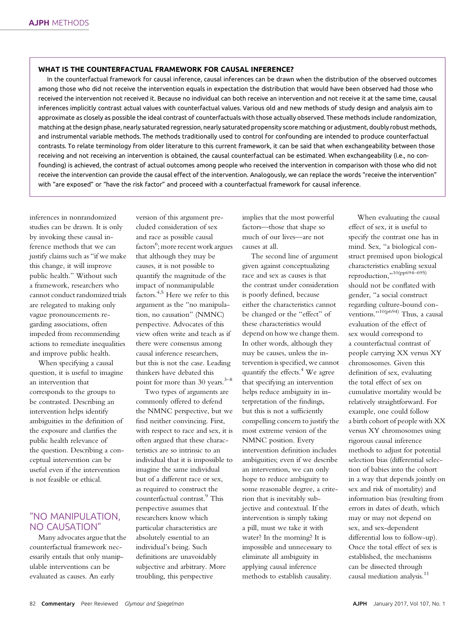#### WHAT IS THE COUNTERFACTUAL FRAMEWORK FOR CAUSAL INFERENCE?

In the counterfactual framework for causal inference, causal inferences can be drawn when the distribution of the observed outcomes among those who did not receive the intervention equals in expectation the distribution that would have been observed had those who received the intervention not received it. Because no individual can both receive an intervention and not receive it at the same time, causal inferences implicitly contrast actual values with counterfactual values. Various old and new methods of study design and analysis aim to approximate as closely as possible the ideal contrast of counterfactuals with those actually observed. These methods include randomization, matching at the design phase, nearly saturated regression, nearly saturated propensity score matching or adjustment, doubly robust methods, and instrumental variable methods. The methods traditionally used to control for confounding are intended to produce counterfactual contrasts. To relate terminology from older literature to this current framework, it can be said that when exchangeability between those receiving and not receiving an intervention is obtained, the causal counterfactual can be estimated. When exchangeability (i.e., no confounding) is achieved, the contrast of actual outcomes among people who received the intervention in comparison with those who did not receive the intervention can provide the causal effect of the intervention. Analogously, we can replace the words "receive the intervention" with "are exposed" or "have the risk factor" and proceed with a counterfactual framework for causal inference.

inferences in nonrandomized studies can be drawn. It is only by invoking these causal inference methods that we can justify claims such as "if we make this change, it will improve public health." Without such a framework, researchers who cannot conduct randomized trials are relegated to making only vague pronouncements regarding associations, often impeded from recommending actions to remediate inequalities and improve public health.

When specifying a causal question, it is useful to imagine an intervention that corresponds to the groups to be contrasted. Describing an intervention helps identify ambiguities in the definition of the exposure and clarifies the public health relevance of the question. Describing a conceptual intervention can be useful even if the intervention is not feasible or ethical.

# "NO MANIPULATION, NO CAUSATION"

Many advocates argue that the counterfactual framework necessarily entails that only manipulable interventions can be evaluated as causes. An early

version of this argument precluded consideration of sex and race as possible causal factors<sup>6</sup>; more recent work argues that although they may be causes, it is not possible to quantify the magnitude of the impact of nonmanipulable factors.4,5 Here we refer to this argument as the "no manipulation, no causation" (NMNC) perspective. Advocates of this view often write and teach as if there were consensus among causal inference researchers, but this is not the case. Leading thinkers have debated this point for more than 30 years. $3-8$ 

Two types of arguments are commonly offered to defend the NMNC perspective, but we find neither convincing. First, with respect to race and sex, it is often argued that these characteristics are so intrinsic to an individual that it is impossible to imagine the same individual but of a different race or sex, as required to construct the counterfactual contrast.<sup>9</sup> This perspective assumes that researchers know which particular characteristics are absolutely essential to an individual's being. Such definitions are unavoidably subjective and arbitrary. More troubling, this perspective

implies that the most powerful factors—those that shape so much of our lives—are not causes at all.

The second line of argument given against conceptualizing race and sex as causes is that the contrast under consideration is poorly defined, because either the characteristics cannot be changed or the "effect" of these characteristics would depend on how we change them. In other words, although they may be causes, unless the intervention is specified, we cannot quantify the effects.<sup>4</sup> We agree that specifying an intervention helps reduce ambiguity in interpretation of the findings, but this is not a sufficiently compelling concern to justify the most extreme version of the NMNC position. Every intervention definition includes ambiguities; even if we describe an intervention, we can only hope to reduce ambiguity to some reasonable degree, a criterion that is inevitably subjective and contextual. If the intervention is simply taking a pill, must we take it with water? In the morning? It is impossible and unnecessary to eliminate all ambiguity in applying causal inference methods to establish causality.

When evaluating the causal effect of sex, it is useful to specify the contrast one has in mind. Sex, "a biological construct premised upon biological characteristics enabling sexual reproduction,"10(pp694–695) should not be conflated with gender, "a social construct regarding culture-bound conventions."10(p694) Thus, a causal evaluation of the effect of sex would correspond to a counterfactual contrast of people carrying XX versus XY chromosomes. Given this definition of sex, evaluating the total effect of sex on cumulative mortality would be relatively straightforward. For example, one could follow a birth cohort of people with XX versus XY chromosomes using rigorous causal inference methods to adjust for potential selection bias (differential selection of babies into the cohort in a way that depends jointly on sex and risk of mortality) and information bias (resulting from errors in dates of death, which may or may not depend on sex, and sex-dependent differential loss to follow-up). Once the total effect of sex is established, the mechanisms can be dissected through causal mediation analysis.<sup>11</sup>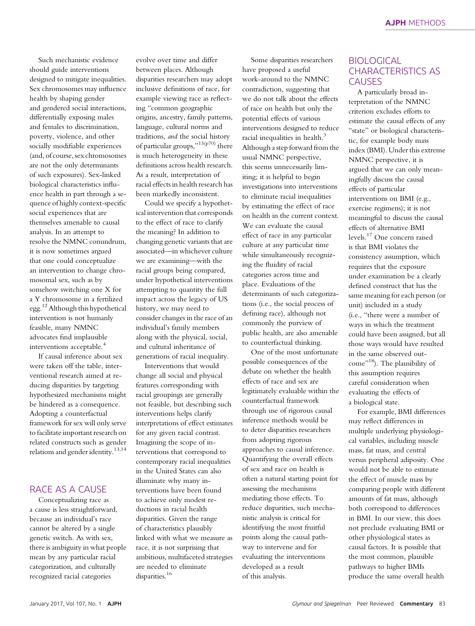Such mechanistic evidence should guide interventions designed to mitigate inequalities. Sex chromosomes may influence health by shaping gender and gendered social interactions, differentially exposing males and females to discrimination, poverty, violence, and other socially modifiable experiences (and, of course, sex chromosomes are not the only determinants of such exposures). Sex-linked biological characteristics influence health in part through a sequence of highly context-specific social experiences that are themselves amenable to causal analysis. In an attempt to resolve the NMNC conundrum, it is now sometimes argued that one could conceptualize an intervention to change chromosomal sex, such as by somehow switching one X for a Y chromosome in a fertilized egg.<sup>12</sup> Although this hypothetical intervention is not humanly feasible, many NMNC advocates find implausible interventions acceptable.<sup>4</sup>

If causal inference about sex were taken off the table, interventional research aimed at reducing disparities by targeting hypothesized mechanisms might be hindered as a consequence. Adopting a counterfactual framework for sex will only serve to facilitate important research on related constructs such as gender relations and gender identity.<sup>13,14</sup>

#### RACE AS A CAUSE

Conceptualizing race as a cause is less straightforward, because an individual's race cannot be altered by a single genetic switch. As with sex, there is ambiguity in what people mean by any particular racial categorization, and culturally recognized racial categories

evolve over time and differ between places. Although disparities researchers may adopt inclusive definitions of race, for example viewing race as reflecting "common geographic origins, ancestry, family patterns, language, cultural norms and traditions, and the social history of particular groups,"15(p70) there is much heterogeneity in these definitions across health research. As a result, interpretation of racial effects in health research has been markedly inconsistent.

Could we specify a hypothetical intervention that corresponds to the effect of race to clarify the meaning? In addition to changing genetic variants that are associated—in whichever culture we are examining—with the racial groups being compared, under hypothetical interventions attempting to quantity the full impact across the legacy of US history, we may need to consider changes in the race of an individual's family members along with the physical, social, and cultural inheritance of generations of racial inequality.

Interventions that would change all social and physical features corresponding with racial groupings are generally not feasible, but describing such interventions helps clarify interpretations of effect estimates for any given racial contrast. Imagining the scope of interventions that correspond to contemporary racial inequalities in the United States can also illuminate why many interventions have been found to achieve only modest reductions in racial health disparities. Given the range of characteristics plausibly linked with what we measure as race, it is not surprising that ambitious, multifaceted strategies are needed to eliminate disparities.<sup>16</sup>

Some disparities researchers have proposed a useful work-around to the NMNC contradiction, suggesting that we do not talk about the effects of race on health but only the potential effects of various interventions designed to reduce racial inequalities in health. $3$ Although a step forward from the usual NMNC perspective, this seems unnecessarily limiting; it is helpful to begin investigations into interventions to eliminate racial inequalities by estimating the effect of race on health in the current context. We can evaluate the causal effect of race in any particular culture at any particular time while simultaneously recognizing the fluidity of racial categories across time and place. Evaluations of the determinants of such categorizations (i.e., the social process of defining race), although not commonly the purview of public health, are also amenable to counterfactual thinking.

One of the most unfortunate possible consequences of the debate on whether the health effects of race and sex are legitimately evaluable within the counterfactual framework through use of rigorous causal inference methods would be to deter disparities researchers from adopting rigorous approaches to causal inference. Quantifying the overall effects of sex and race on health is often a natural starting point for assessing the mechanisms mediating those effects. To reduce disparities, such mechanistic analysis is critical for identifying the most fruitful points along the causal pathway to intervene and for evaluating the interventions developed as a result of this analysis.

# BIOLOGICAL CHARACTERISTICS AS **CAUSES**

A particularly broad interpretation of the NMNC criterion excludes efforts to estimate the causal effects of any "state" or biological characteristic, for example body mass index (BMI). Under this extreme NMNC perspective, it is argued that we can only meaningfully discuss the causal effects of particular interventions on BMI (e.g., exercise regimens); it is not meaningful to discuss the causal effects of alternative BMI levels.<sup>17</sup> One concern raised is that BMI violates the consistency assumption, which requires that the exposure under examination be a clearly defined construct that has the same meaning for each person (or unit) included in a study (i.e., "there were a number of ways in which the treatment could have been assigned, but all those ways would have resulted in the same observed outcome"<sup>18</sup>). The plausibility of this assumption requires careful consideration when evaluating the effects of a biological state.

For example, BMI differences may reflect differences in multiple underlying physiological variables, including muscle mass, fat mass, and central versus peripheral adiposity. One would not be able to estimate the effect of muscle mass by comparing people with different amounts of fat mass, although both correspond to differences in BMI. In our view, this does not preclude evaluating BMI or other physiological states as causal factors. It is possible that the most common, plausible pathways to higher BMIs produce the same overall health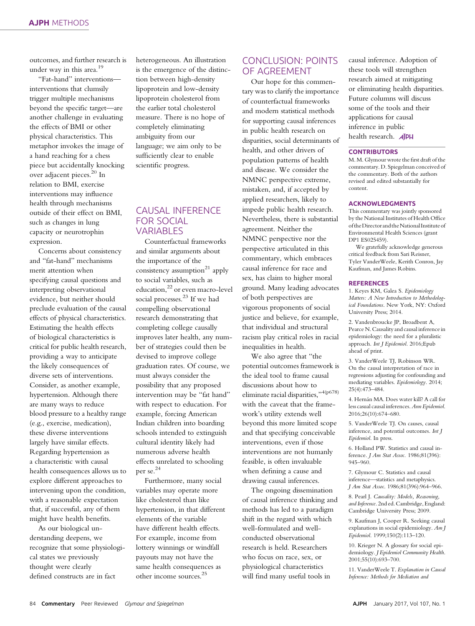outcomes, and further research is under way in this area.<sup>19</sup>

"Fat-hand" interventions interventions that clumsily trigger multiple mechanisms beyond the specific target—are another challenge in evaluating the effects of BMI or other physical characteristics. This metaphor invokes the image of a hand reaching for a chess piece but accidentally knocking over adjacent pieces.<sup>20</sup> In relation to BMI, exercise interventions may influence health through mechanisms outside of their effect on BMI, such as changes in lung capacity or neurotrophin expression.

Concerns about consistency and "fat-hand" mechanisms merit attention when specifying causal questions and interpreting observational evidence, but neither should preclude evaluation of the causal effects of physical characteristics. Estimating the health effects of biological characteristics is critical for public health research, providing a way to anticipate the likely consequences of diverse sets of interventions. Consider, as another example, hypertension. Although there are many ways to reduce blood pressure to a healthy range (e.g., exercise, medication), these diverse interventions largely have similar effects. Regarding hypertension as a characteristic with causal health consequences allows us to explore different approaches to intervening upon the condition, with a reasonable expectation that, if successful, any of them might have health benefits.

As our biological understanding deepens, we recognize that some physiological states we previously thought were clearly defined constructs are in fact

heterogeneous. An illustration is the emergence of the distinction between high-density lipoprotein and low-density lipoprotein cholesterol from the earlier total cholesterol measure. There is no hope of completely eliminating ambiguity from our language; we aim only to be sufficiently clear to enable scientific progress.

## CAUSAL INFERENCE FOR SOCIAL VARIABLES

Counterfactual frameworks and similar arguments about the importance of the consistency assumption  $^{21}$  apply to social variables, such as education,<sup>22</sup> or even macro-level social processes.<sup>23</sup> If we had compelling observational research demonstrating that completing college causally improves later health, any number of strategies could then be devised to improve college graduation rates. Of course, we must always consider the possibility that any proposed intervention may be "fat hand" with respect to education. For example, forcing American Indian children into boarding schools intended to extinguish cultural identity likely had numerous adverse health effects unrelated to schooling per se.24

Furthermore, many social variables may operate more like cholesterol than like hypertension, in that different elements of the variable have different health effects. For example, income from lottery winnings or windfall payouts may not have the same health consequences as other income sources.<sup>25</sup>

### CONCLUSION: POINTS OF AGREEMENT

Our hope for this commentary was to clarify the importance of counterfactual frameworks and modern statistical methods for supporting causal inferences in public health research on disparities, social determinants of health, and other drivers of population patterns of health and disease. We consider the NMNC perspective extreme, mistaken, and, if accepted by applied researchers, likely to impede public health research. Nevertheless, there is substantial agreement. Neither the NMNC perspective nor the perspective articulated in this commentary, which embraces causal inference for race and sex, has claim to higher moral ground. Many leading advocates of both perspectives are vigorous proponents of social justice and believe, for example, that individual and structural racism play critical roles in racial inequalities in health. We also agree that "the

potential outcomes framework is the ideal tool to frame causal discussions about how to eliminate racial disparities,"4(p678) with the caveat that the framework's utility extends well beyond this more limited scope and that specifying conceivable interventions, even if those interventions are not humanly feasible, is often invaluable when defining a cause and drawing causal inferences.

The ongoing dissemination of causal inference thinking and methods has led to a paradigm shift in the regard with which well-formulated and wellconducted observational research is held. Researchers who focus on race, sex, or physiological characteristics will find many useful tools in

causal inference. Adoption of these tools will strengthen research aimed at mitigating or eliminating health disparities. Future columns will discuss some of the tools and their applications for causal inference in public health research. **AJPH** 

#### **CONTRIBUTORS**

M. M. Glymour wrote the first draft of the commentary. D. Spiegelman conceived of the commentary. Both of the authors revised and edited substantially for content.

#### ACKNOWLEDGMENTS

This commentary was jointly sponsored by the National Institutes of Health Office oftheDirector andtheNational Institute of Environmental Health Sciences (grant DP1 ES025459).

We gratefully acknowledge generous critical feedback from Sari Reisner, Tyler VanderWeele, Kerith Conron, Jay Kaufman, and James Robins.

#### REFERENCES

1. Keyes KM, Galea S. Epidemiology Matters: A New Introduction to Methodological Foundations. New York, NY: Oxford University Press; 2014.

2. Vandenbroucke JP, Broadbent A, Pearce N. Causality and causal inference in epidemiology: the need for a pluralistic approach. Int J Epidemiol. 2016;Epub ahead of print.

3. VanderWeele TJ, Robinson WR. On the causal interpretation of race in regressions adjusting for confounding and mediating variables. Epidemiology. 2014; 25(4):473–484.

4. Hernán MA. Does water kill? A call for less casual causal inferences.Ann Epidemiol. 2016;26(10):674–680.

5. VanderWeele TJ. On causes, causal inference, and potential outcomes. Int J Epidemiol. In press.

6. Holland PW. Statistics and causal inference. J Am Stat Assoc. 1986;81(396): 945–960.

7. Glymour C. Statistics and causal inference—statistics and metaphysics. J Am Stat Assoc. 1986;81(396):964–966.

8. Pearl J. Causality: Models, Reasoning, and Inference. 2nd ed. Cambridge, England: Cambridge University Press; 2009.

9. Kaufman J, Cooper R. Seeking causal explanations in social epidemiology. Am J Epidemiol. 1999;150(2):113–120.

10. Krieger N. A glossary for social epidemiology. J Epidemiol Community Health. 2001;55(10):693–700.

11. VanderWeele T. Explanation in Causal Inference: Methods for Mediation and